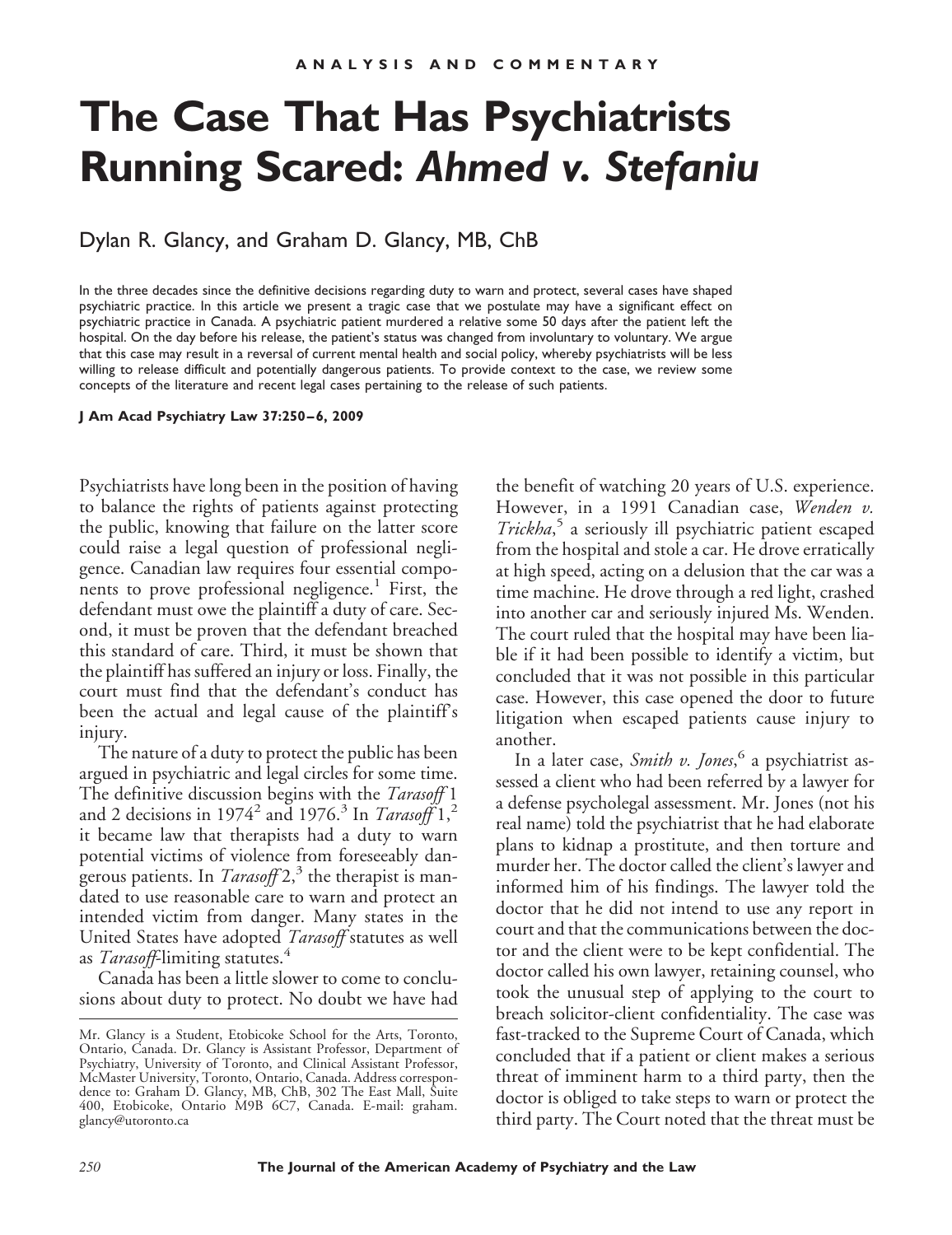# **The Case That Has Psychiatrists Running Scared:** *Ahmed v. Stefaniu*

### Dylan R. Glancy, and Graham D. Glancy, MB, ChB

In the three decades since the definitive decisions regarding duty to warn and protect, several cases have shaped psychiatric practice. In this article we present a tragic case that we postulate may have a significant effect on psychiatric practice in Canada. A psychiatric patient murdered a relative some 50 days after the patient left the hospital. On the day before his release, the patient's status was changed from involuntary to voluntary. We argue that this case may result in a reversal of current mental health and social policy, whereby psychiatrists will be less willing to release difficult and potentially dangerous patients. To provide context to the case, we review some concepts of the literature and recent legal cases pertaining to the release of such patients.

#### **J Am Acad Psychiatry Law 37:250 – 6, 2009**

Psychiatrists have long been in the position of having to balance the rights of patients against protecting the public, knowing that failure on the latter score could raise a legal question of professional negligence. Canadian law requires four essential components to prove professional negligence.<sup>1</sup> First, the defendant must owe the plaintiff a duty of care. Second, it must be proven that the defendant breached this standard of care. Third, it must be shown that the plaintiff has suffered an injury or loss. Finally, the court must find that the defendant's conduct has been the actual and legal cause of the plaintiff's injury.

The nature of a duty to protect the public has been argued in psychiatric and legal circles for some time. The definitive discussion begins with the *Tarasoff* 1 and 2 decisions in 1974<sup>2</sup> and 1976.<sup>3</sup> In *Tarasoff* 1,<sup>2</sup> it became law that therapists had a duty to warn potential victims of violence from foreseeably dangerous patients. In  $Tarasoff 2<sup>3</sup>$ , the therapist is mandated to use reasonable care to warn and protect an intended victim from danger. Many states in the United States have adopted *Tarasoff* statutes as well as *Tarasoff*-limiting statutes.<sup>4</sup>

Canada has been a little slower to come to conclusions about duty to protect. No doubt we have had the benefit of watching 20 years of U.S. experience. However, in a 1991 Canadian case, *Wenden v. Trickha*, <sup>5</sup> a seriously ill psychiatric patient escaped from the hospital and stole a car. He drove erratically at high speed, acting on a delusion that the car was a time machine. He drove through a red light, crashed into another car and seriously injured Ms. Wenden. The court ruled that the hospital may have been liable if it had been possible to identify a victim, but concluded that it was not possible in this particular case. However, this case opened the door to future litigation when escaped patients cause injury to another.

In a later case, *Smith v. Jones*, <sup>6</sup> a psychiatrist assessed a client who had been referred by a lawyer for a defense psycholegal assessment. Mr. Jones (not his real name) told the psychiatrist that he had elaborate plans to kidnap a prostitute, and then torture and murder her. The doctor called the client's lawyer and informed him of his findings. The lawyer told the doctor that he did not intend to use any report in court and that the communications between the doctor and the client were to be kept confidential. The doctor called his own lawyer, retaining counsel, who took the unusual step of applying to the court to breach solicitor-client confidentiality. The case was fast-tracked to the Supreme Court of Canada, which concluded that if a patient or client makes a serious threat of imminent harm to a third party, then the doctor is obliged to take steps to warn or protect the third party. The Court noted that the threat must be

Mr. Glancy is a Student, Etobicoke School for the Arts, Toronto, Ontario, Canada. Dr. Glancy is Assistant Professor, Department of Psychiatry, University of Toronto, and Clinical Assistant Professor, McMaster University, Toronto, Ontario, Canada. Address correspondence to: Graham D. Glancy, MB, ChB, 302 The East Mall, Suite 400, Etobicoke, Ontario M9B 6C7, Canada. E-mail: graham. glancy@utoronto.ca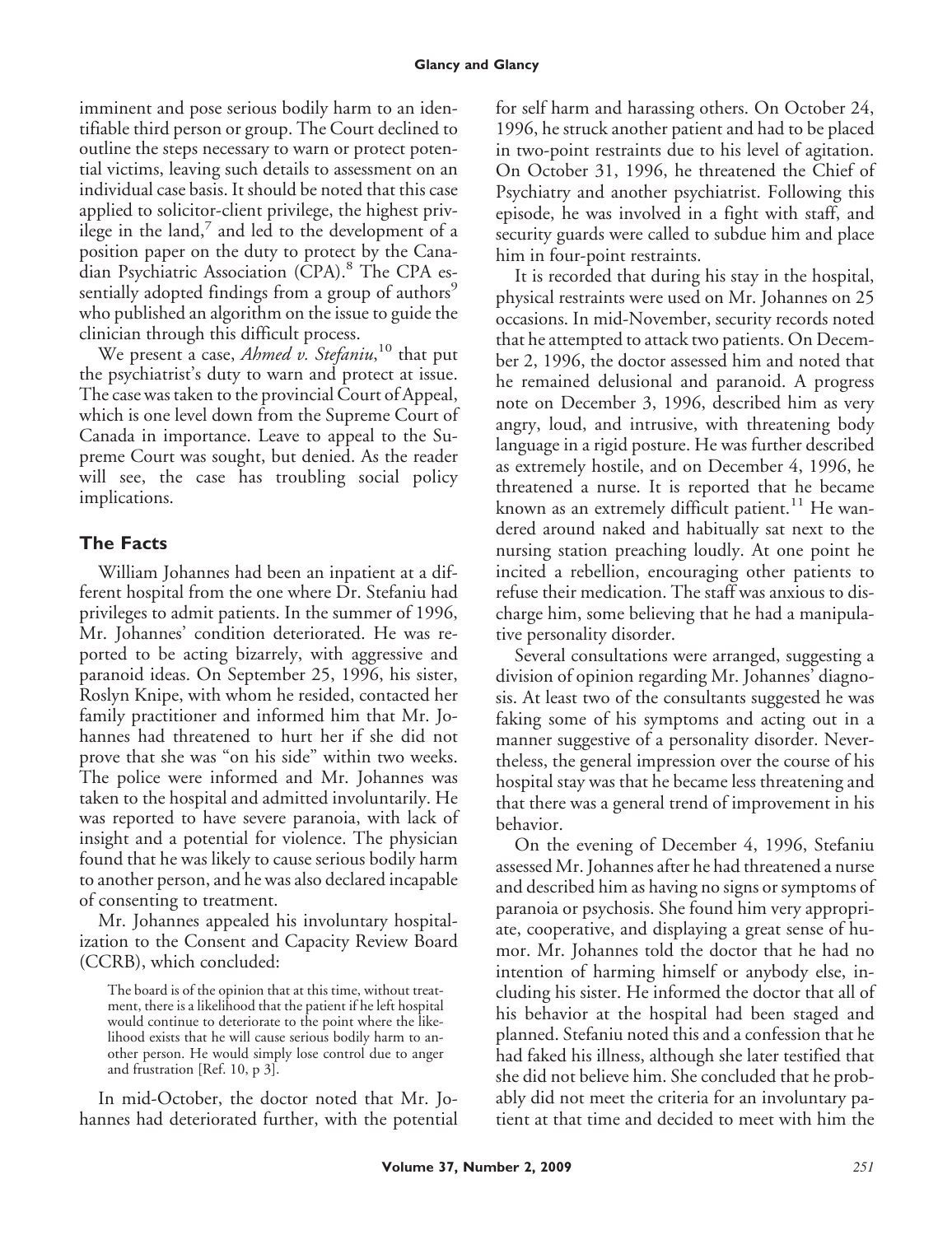imminent and pose serious bodily harm to an identifiable third person or group. The Court declined to outline the steps necessary to warn or protect potential victims, leaving such details to assessment on an individual case basis. It should be noted that this case applied to solicitor-client privilege, the highest privilege in the land, $\theta$  and led to the development of a position paper on the duty to protect by the Canadian Psychiatric Association (CPA).<sup>8</sup> The CPA essentially adopted findings from a group of authors<sup>9</sup> who published an algorithm on the issue to guide the clinician through this difficult process.

We present a case, *Ahmed v. Stefaniu*, <sup>10</sup> that put the psychiatrist's duty to warn and protect at issue. The case was taken to the provincial Court of Appeal, which is one level down from the Supreme Court of Canada in importance. Leave to appeal to the Supreme Court was sought, but denied. As the reader will see, the case has troubling social policy implications.

## **The Facts**

William Johannes had been an inpatient at a different hospital from the one where Dr. Stefaniu had privileges to admit patients. In the summer of 1996, Mr. Johannes' condition deteriorated. He was reported to be acting bizarrely, with aggressive and paranoid ideas. On September 25, 1996, his sister, Roslyn Knipe, with whom he resided, contacted her family practitioner and informed him that Mr. Johannes had threatened to hurt her if she did not prove that she was "on his side" within two weeks. The police were informed and Mr. Johannes was taken to the hospital and admitted involuntarily. He was reported to have severe paranoia, with lack of insight and a potential for violence. The physician found that he was likely to cause serious bodily harm to another person, and he was also declared incapable of consenting to treatment.

Mr. Johannes appealed his involuntary hospitalization to the Consent and Capacity Review Board (CCRB), which concluded:

The board is of the opinion that at this time, without treatment, there is a likelihood that the patient if he left hospital would continue to deteriorate to the point where the likelihood exists that he will cause serious bodily harm to another person. He would simply lose control due to anger and frustration [Ref. 10, p 3].

In mid-October, the doctor noted that Mr. Johannes had deteriorated further, with the potential for self harm and harassing others. On October 24, 1996, he struck another patient and had to be placed in two-point restraints due to his level of agitation. On October 31, 1996, he threatened the Chief of Psychiatry and another psychiatrist. Following this episode, he was involved in a fight with staff, and security guards were called to subdue him and place him in four-point restraints.

It is recorded that during his stay in the hospital, physical restraints were used on Mr. Johannes on 25 occasions. In mid-November, security records noted that he attempted to attack two patients. On December 2, 1996, the doctor assessed him and noted that he remained delusional and paranoid. A progress note on December 3, 1996, described him as very angry, loud, and intrusive, with threatening body language in a rigid posture. He was further described as extremely hostile, and on December 4, 1996, he threatened a nurse. It is reported that he became known as an extremely difficult patient.<sup>11</sup> He wandered around naked and habitually sat next to the nursing station preaching loudly. At one point he incited a rebellion, encouraging other patients to refuse their medication. The staff was anxious to discharge him, some believing that he had a manipulative personality disorder.

Several consultations were arranged, suggesting a division of opinion regarding Mr. Johannes' diagnosis. At least two of the consultants suggested he was faking some of his symptoms and acting out in a manner suggestive of a personality disorder. Nevertheless, the general impression over the course of his hospital stay was that he became less threatening and that there was a general trend of improvement in his behavior.

On the evening of December 4, 1996, Stefaniu assessed Mr. Johannes after he had threatened a nurse and described him as having no signs or symptoms of paranoia or psychosis. She found him very appropriate, cooperative, and displaying a great sense of humor. Mr. Johannes told the doctor that he had no intention of harming himself or anybody else, including his sister. He informed the doctor that all of his behavior at the hospital had been staged and planned. Stefaniu noted this and a confession that he had faked his illness, although she later testified that she did not believe him. She concluded that he probably did not meet the criteria for an involuntary patient at that time and decided to meet with him the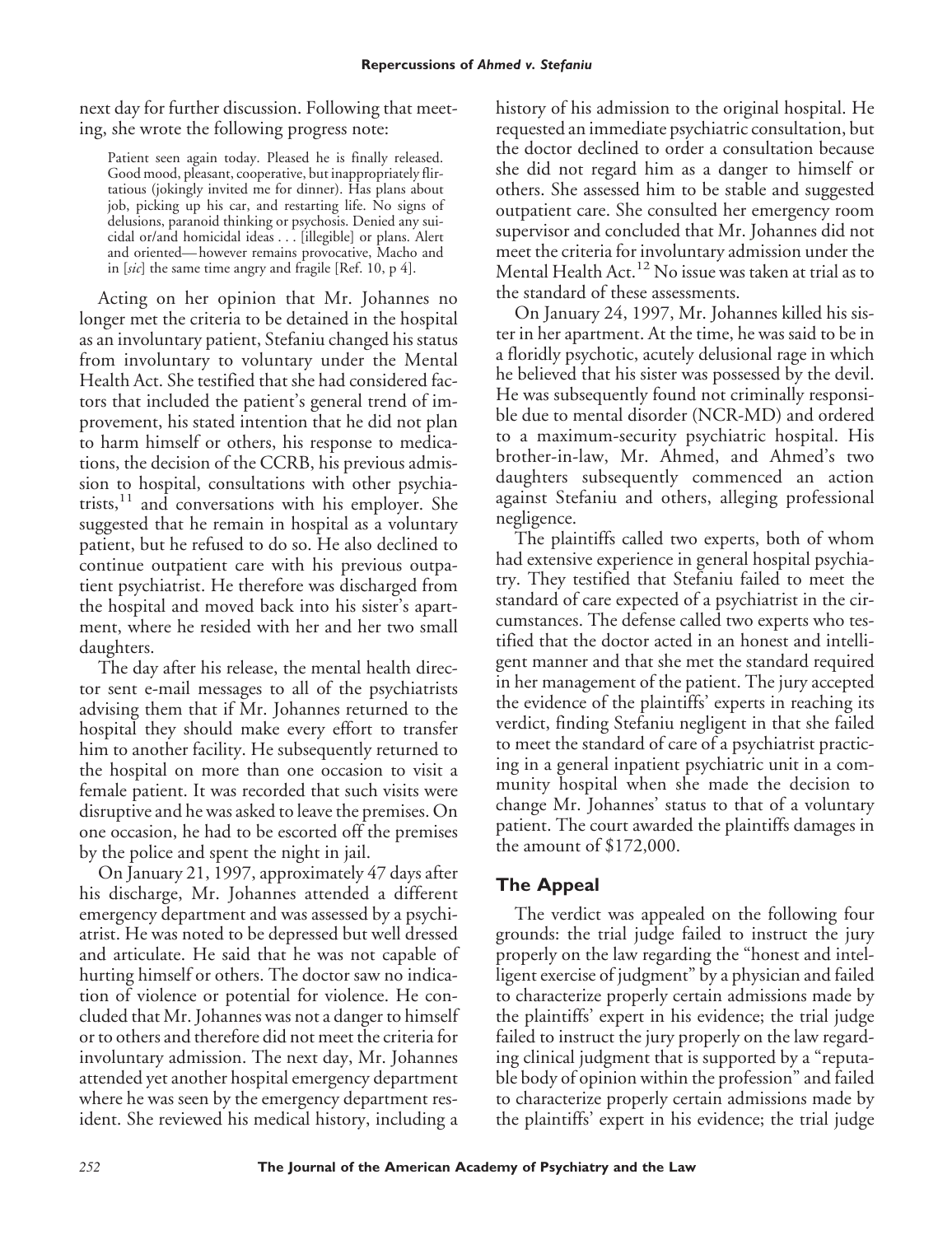next day for further discussion. Following that meeting, she wrote the following progress note:

Patient seen again today. Pleased he is finally released. Good mood, pleasant, cooperative, but inappropriately flirtatious (jokingly invited me for dinner). Has plans about job, picking up his car, and restarting life. No signs of delusions, paranoid thinking or psychosis. Denied any suicidal or/and homicidal ideas... [illegible] or plans. Alert and oriented— however remains provocative, Macho and in [*sic*] the same time angry and fragile [Ref. 10, p 4].

Acting on her opinion that Mr. Johannes no longer met the criteria to be detained in the hospital as an involuntary patient, Stefaniu changed his status from involuntary to voluntary under the Mental Health Act. She testified that she had considered factors that included the patient's general trend of improvement, his stated intention that he did not plan to harm himself or others, his response to medications, the decision of the CCRB, his previous admission to hospital, consultations with other psychiatrists, $11$  and conversations with his employer. She suggested that he remain in hospital as a voluntary patient, but he refused to do so. He also declined to continue outpatient care with his previous outpatient psychiatrist. He therefore was discharged from the hospital and moved back into his sister's apartment, where he resided with her and her two small daughters.

The day after his release, the mental health director sent e-mail messages to all of the psychiatrists advising them that if Mr. Johannes returned to the hospital they should make every effort to transfer him to another facility. He subsequently returned to the hospital on more than one occasion to visit a female patient. It was recorded that such visits were disruptive and he was asked to leave the premises. On one occasion, he had to be escorted off the premises by the police and spent the night in jail.

On January 21, 1997, approximately 47 days after his discharge, Mr. Johannes attended a different emergency department and was assessed by a psychiatrist. He was noted to be depressed but well dressed and articulate. He said that he was not capable of hurting himself or others. The doctor saw no indication of violence or potential for violence. He concluded that Mr. Johannes was not a danger to himself or to others and therefore did not meet the criteria for involuntary admission. The next day, Mr. Johannes attended yet another hospital emergency department where he was seen by the emergency department resident. She reviewed his medical history, including a

history of his admission to the original hospital. He requested an immediate psychiatric consultation, but the doctor declined to order a consultation because she did not regard him as a danger to himself or others. She assessed him to be stable and suggested outpatient care. She consulted her emergency room supervisor and concluded that Mr. Johannes did not meet the criteria for involuntary admission under the Mental Health Act.<sup>12</sup> No issue was taken at trial as to the standard of these assessments.

On January 24, 1997, Mr. Johannes killed his sister in her apartment. At the time, he was said to be in a floridly psychotic, acutely delusional rage in which he believed that his sister was possessed by the devil. He was subsequently found not criminally responsible due to mental disorder (NCR-MD) and ordered to a maximum-security psychiatric hospital. His brother-in-law, Mr. Ahmed, and Ahmed's two daughters subsequently commenced an action against Stefaniu and others, alleging professional negligence.

The plaintiffs called two experts, both of whom had extensive experience in general hospital psychiatry. They testified that Stefaniu failed to meet the standard of care expected of a psychiatrist in the circumstances. The defense called two experts who testified that the doctor acted in an honest and intelligent manner and that she met the standard required in her management of the patient. The jury accepted the evidence of the plaintiffs' experts in reaching its verdict, finding Stefaniu negligent in that she failed to meet the standard of care of a psychiatrist practicing in a general inpatient psychiatric unit in a community hospital when she made the decision to change Mr. Johannes' status to that of a voluntary patient. The court awarded the plaintiffs damages in the amount of \$172,000.

#### **The Appeal**

The verdict was appealed on the following four grounds: the trial judge failed to instruct the jury properly on the law regarding the "honest and intelligent exercise of judgment" by a physician and failed to characterize properly certain admissions made by the plaintiffs' expert in his evidence; the trial judge failed to instruct the jury properly on the law regarding clinical judgment that is supported by a "reputable body of opinion within the profession" and failed to characterize properly certain admissions made by the plaintiffs' expert in his evidence; the trial judge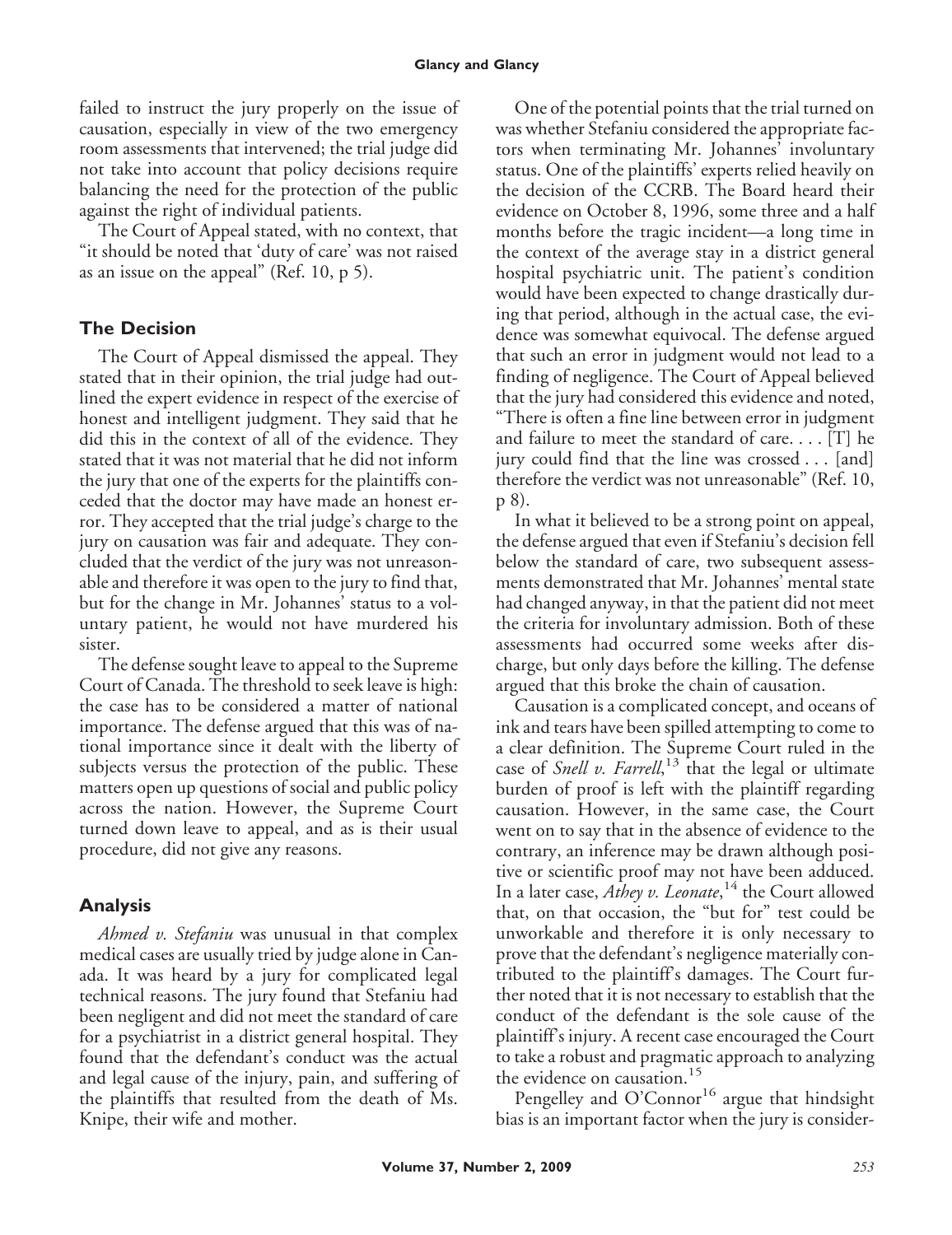failed to instruct the jury properly on the issue of causation, especially in view of the two emergency room assessments that intervened; the trial judge did not take into account that policy decisions require balancing the need for the protection of the public against the right of individual patients.

The Court of Appeal stated, with no context, that "it should be noted that 'duty of care' was not raised as an issue on the appeal" (Ref. 10, p 5).

## **The Decision**

The Court of Appeal dismissed the appeal. They stated that in their opinion, the trial judge had outlined the expert evidence in respect of the exercise of honest and intelligent judgment. They said that he did this in the context of all of the evidence. They stated that it was not material that he did not inform the jury that one of the experts for the plaintiffs conceded that the doctor may have made an honest error. They accepted that the trial judge's charge to the jury on causation was fair and adequate. They concluded that the verdict of the jury was not unreasonable and therefore it was open to the jury to find that, but for the change in Mr. Johannes' status to a voluntary patient, he would not have murdered his sister.

The defense sought leave to appeal to the Supreme Court of Canada. The threshold to seek leave is high: the case has to be considered a matter of national importance. The defense argued that this was of national importance since it dealt with the liberty of subjects versus the protection of the public. These matters open up questions of social and public policy across the nation. However, the Supreme Court turned down leave to appeal, and as is their usual procedure, did not give any reasons.

## **Analysis**

*Ahmed v. Stefaniu* was unusual in that complex medical cases are usually tried by judge alone in Canada. It was heard by a jury for complicated legal technical reasons. The jury found that Stefaniu had been negligent and did not meet the standard of care for a psychiatrist in a district general hospital. They found that the defendant's conduct was the actual and legal cause of the injury, pain, and suffering of the plaintiffs that resulted from the death of Ms. Knipe, their wife and mother.

One of the potential points that the trial turned on was whether Stefaniu considered the appropriate factors when terminating Mr. Johannes' involuntary status. One of the plaintiffs' experts relied heavily on the decision of the CCRB. The Board heard their evidence on October 8, 1996, some three and a half months before the tragic incident—a long time in the context of the average stay in a district general hospital psychiatric unit. The patient's condition would have been expected to change drastically during that period, although in the actual case, the evidence was somewhat equivocal. The defense argued that such an error in judgment would not lead to a finding of negligence. The Court of Appeal believed that the jury had considered this evidence and noted, "There is often a fine line between error in judgment and failure to meet the standard of care. . . . [T] he jury could find that the line was crossed... [and] therefore the verdict was not unreasonable" (Ref. 10, p 8).

In what it believed to be a strong point on appeal, the defense argued that even if Stefaniu's decision fell below the standard of care, two subsequent assessments demonstrated that Mr. Johannes' mental state had changed anyway, in that the patient did not meet the criteria for involuntary admission. Both of these assessments had occurred some weeks after discharge, but only days before the killing. The defense argued that this broke the chain of causation.

Causation is a complicated concept, and oceans of ink and tears have been spilled attempting to come to a clear definition. The Supreme Court ruled in the case of *Snell v. Farrell*,<sup>13</sup> that the legal or ultimate burden of proof is left with the plaintiff regarding causation. However, in the same case, the Court went on to say that in the absence of evidence to the contrary, an inference may be drawn although positive or scientific proof may not have been adduced. In a later case, *Athey v. Leonate*, <sup>14</sup> the Court allowed that, on that occasion, the "but for" test could be unworkable and therefore it is only necessary to prove that the defendant's negligence materially contributed to the plaintiff's damages. The Court further noted that it is not necessary to establish that the conduct of the defendant is the sole cause of the plaintiff's injury. A recent case encouraged the Court to take a robust and pragmatic approach to analyzing the evidence on causation.<sup>15</sup>

Pengelley and  $O'Connor<sup>16</sup>$  argue that hindsight bias is an important factor when the jury is consider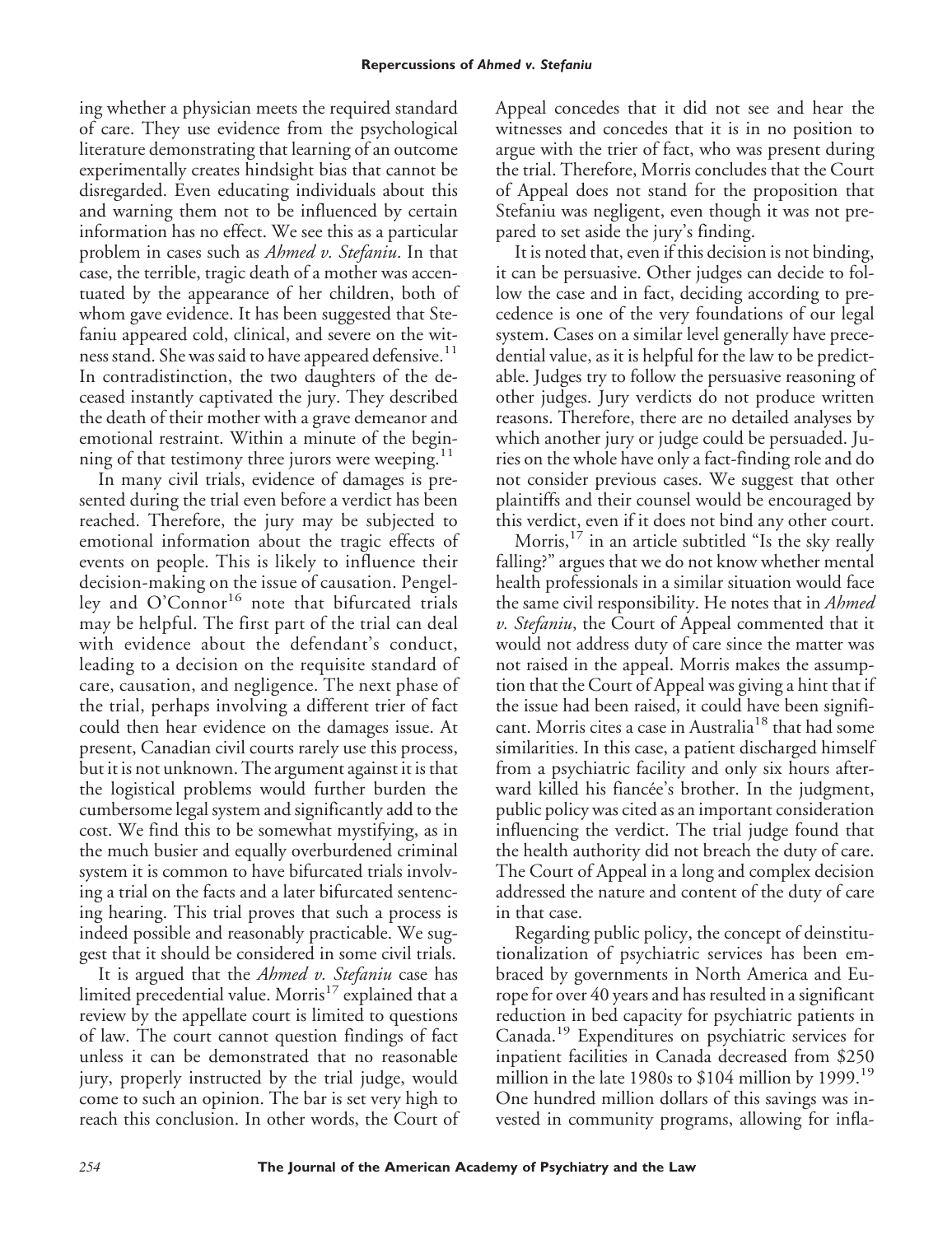ing whether a physician meets the required standard of care. They use evidence from the psychological literature demonstrating that learning of an outcome experimentally creates hindsight bias that cannot be disregarded. Even educating individuals about this and warning them not to be influenced by certain information has no effect. We see this as a particular problem in cases such as *Ahmed v. Stefaniu*. In that case, the terrible, tragic death of a mother was accentuated by the appearance of her children, both of whom gave evidence. It has been suggested that Stefaniu appeared cold, clinical, and severe on the witness stand. She was said to have appeared defensive.<sup>11</sup> In contradistinction, the two daughters of the deceased instantly captivated the jury. They described the death of their mother with a grave demeanor and emotional restraint. Within a minute of the beginning of that testimony three jurors were weeping. $11$ 

In many civil trials, evidence of damages is presented during the trial even before a verdict has been reached. Therefore, the jury may be subjected to emotional information about the tragic effects of events on people. This is likely to influence their decision-making on the issue of causation. Pengelley and  $O'Connor<sup>16</sup>$  note that bifurcated trials may be helpful. The first part of the trial can deal with evidence about the defendant's conduct, leading to a decision on the requisite standard of care, causation, and negligence. The next phase of the trial, perhaps involving a different trier of fact could then hear evidence on the damages issue. At present, Canadian civil courts rarely use this process, but it is not unknown. The argument against it is that the logistical problems would further burden the cumbersome legal system and significantly add to the cost. We find this to be somewhat mystifying, as in the much busier and equally overburdened criminal system it is common to have bifurcated trials involving a trial on the facts and a later bifurcated sentencing hearing. This trial proves that such a process is indeed possible and reasonably practicable. We suggest that it should be considered in some civil trials.

It is argued that the *Ahmed v. Stefaniu* case has limited precedential value. Morris<sup>17</sup> explained that a review by the appellate court is limited to questions of law. The court cannot question findings of fact unless it can be demonstrated that no reasonable jury, properly instructed by the trial judge, would come to such an opinion. The bar is set very high to reach this conclusion. In other words, the Court of Appeal concedes that it did not see and hear the witnesses and concedes that it is in no position to argue with the trier of fact, who was present during the trial. Therefore, Morris concludes that the Court of Appeal does not stand for the proposition that Stefaniu was negligent, even though it was not prepared to set aside the jury's finding.

It is noted that, even if this decision is not binding, it can be persuasive. Other judges can decide to follow the case and in fact, deciding according to precedence is one of the very foundations of our legal system. Cases on a similar level generally have precedential value, as it is helpful for the law to be predictable. Judges try to follow the persuasive reasoning of other judges. Jury verdicts do not produce written reasons. Therefore, there are no detailed analyses by which another jury or judge could be persuaded. Juries on the whole have only a fact-finding role and do not consider previous cases. We suggest that other plaintiffs and their counsel would be encouraged by this verdict, even if it does not bind any other court.

Morris,<sup>17</sup> in an article subtitled "Is the sky really falling?" argues that we do not know whether mental health professionals in a similar situation would face the same civil responsibility. He notes that in *Ahmed v. Stefaniu*, the Court of Appeal commented that it would not address duty of care since the matter was not raised in the appeal. Morris makes the assumption that the Court of Appeal was giving a hint that if the issue had been raised, it could have been significant. Morris cites a case in Australia<sup>18</sup> that had some similarities. In this case, a patient discharged himself from a psychiatric facility and only six hours afterward killed his fiancée's brother. In the judgment, public policy was cited as an important consideration influencing the verdict. The trial judge found that the health authority did not breach the duty of care. The Court of Appeal in a long and complex decision addressed the nature and content of the duty of care in that case.

Regarding public policy, the concept of deinstitutionalization of psychiatric services has been embraced by governments in North America and Europe for over 40 years and has resulted in a significant reduction in bed capacity for psychiatric patients in Canada.<sup>19</sup> Expenditures on psychiatric services for inpatient facilities in Canada decreased from \$250 million in the late 1980s to \$104 million by 1999.<sup>19</sup> One hundred million dollars of this savings was invested in community programs, allowing for infla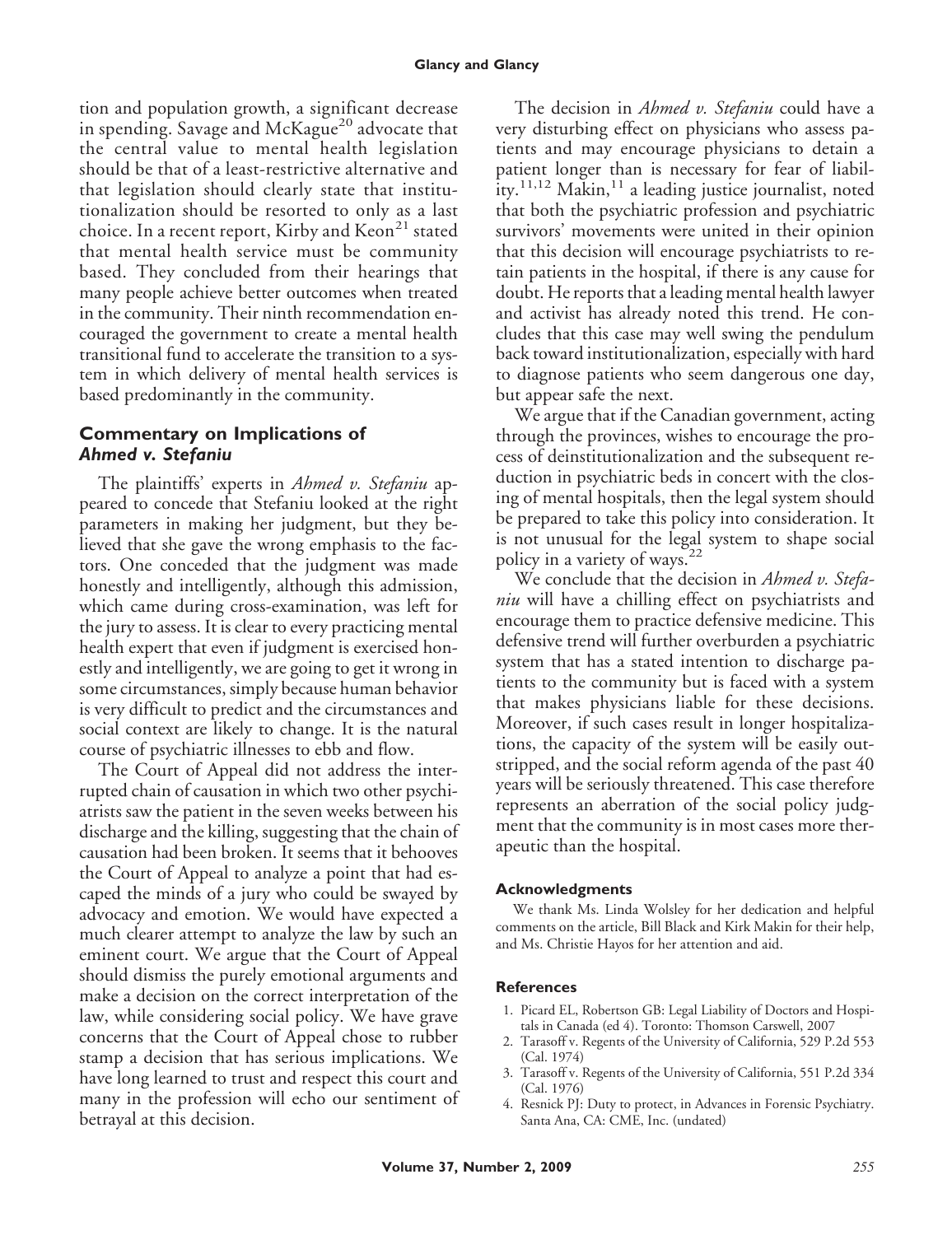tion and population growth, a significant decrease in spending. Savage and McKague<sup>20</sup> advocate that the central value to mental health legislation should be that of a least-restrictive alternative and that legislation should clearly state that institutionalization should be resorted to only as a last choice. In a recent report, Kirby and  $Kean^{21}$  stated that mental health service must be community based. They concluded from their hearings that many people achieve better outcomes when treated in the community. Their ninth recommendation encouraged the government to create a mental health transitional fund to accelerate the transition to a system in which delivery of mental health services is based predominantly in the community.

#### **Commentary on Implications of** *Ahmed v. Stefaniu*

The plaintiffs' experts in *Ahmed v. Stefaniu* appeared to concede that Stefaniu looked at the right parameters in making her judgment, but they believed that she gave the wrong emphasis to the factors. One conceded that the judgment was made honestly and intelligently, although this admission, which came during cross-examination, was left for the jury to assess. It is clear to every practicing mental health expert that even if judgment is exercised honestly and intelligently, we are going to get it wrong in some circumstances, simply because human behavior is very difficult to predict and the circumstances and social context are likely to change. It is the natural course of psychiatric illnesses to ebb and flow.

The Court of Appeal did not address the interrupted chain of causation in which two other psychiatrists saw the patient in the seven weeks between his discharge and the killing, suggesting that the chain of causation had been broken. It seems that it behooves the Court of Appeal to analyze a point that had escaped the minds of a jury who could be swayed by advocacy and emotion. We would have expected a much clearer attempt to analyze the law by such an eminent court. We argue that the Court of Appeal should dismiss the purely emotional arguments and make a decision on the correct interpretation of the law, while considering social policy. We have grave concerns that the Court of Appeal chose to rubber stamp a decision that has serious implications. We have long learned to trust and respect this court and many in the profession will echo our sentiment of betrayal at this decision.

The decision in *Ahmed v. Stefaniu* could have a very disturbing effect on physicians who assess patients and may encourage physicians to detain a patient longer than is necessary for fear of liability.<sup>11,12</sup> Makin,<sup>11</sup> a leading justice journalist, noted that both the psychiatric profession and psychiatric survivors' movements were united in their opinion that this decision will encourage psychiatrists to retain patients in the hospital, if there is any cause for doubt. He reports that a leading mental health lawyer and activist has already noted this trend. He concludes that this case may well swing the pendulum back toward institutionalization, especially with hard to diagnose patients who seem dangerous one day, but appear safe the next.

We argue that if the Canadian government, acting through the provinces, wishes to encourage the process of deinstitutionalization and the subsequent reduction in psychiatric beds in concert with the closing of mental hospitals, then the legal system should be prepared to take this policy into consideration. It is not unusual for the legal system to shape social policy in a variety of ways.<sup>22</sup>

We conclude that the decision in *Ahmed v. Stefaniu* will have a chilling effect on psychiatrists and encourage them to practice defensive medicine. This defensive trend will further overburden a psychiatric system that has a stated intention to discharge patients to the community but is faced with a system that makes physicians liable for these decisions. Moreover, if such cases result in longer hospitalizations, the capacity of the system will be easily outstripped, and the social reform agenda of the past 40 years will be seriously threatened. This case therefore represents an aberration of the social policy judgment that the community is in most cases more therapeutic than the hospital.

#### **Acknowledgments**

We thank Ms. Linda Wolsley for her dedication and helpful comments on the article, Bill Black and Kirk Makin for their help, and Ms. Christie Hayos for her attention and aid.

#### **References**

- 1. Picard EL, Robertson GB: Legal Liability of Doctors and Hospitals in Canada (ed 4). Toronto: Thomson Carswell, 2007
- 2. Tarasoff v. Regents of the University of California, 529 P.2d 553 (Cal. 1974)
- 3. Tarasoff v. Regents of the University of California, 551 P.2d 334 (Cal. 1976)
- 4. Resnick PJ: Duty to protect, in Advances in Forensic Psychiatry. Santa Ana, CA: CME, Inc. (undated)